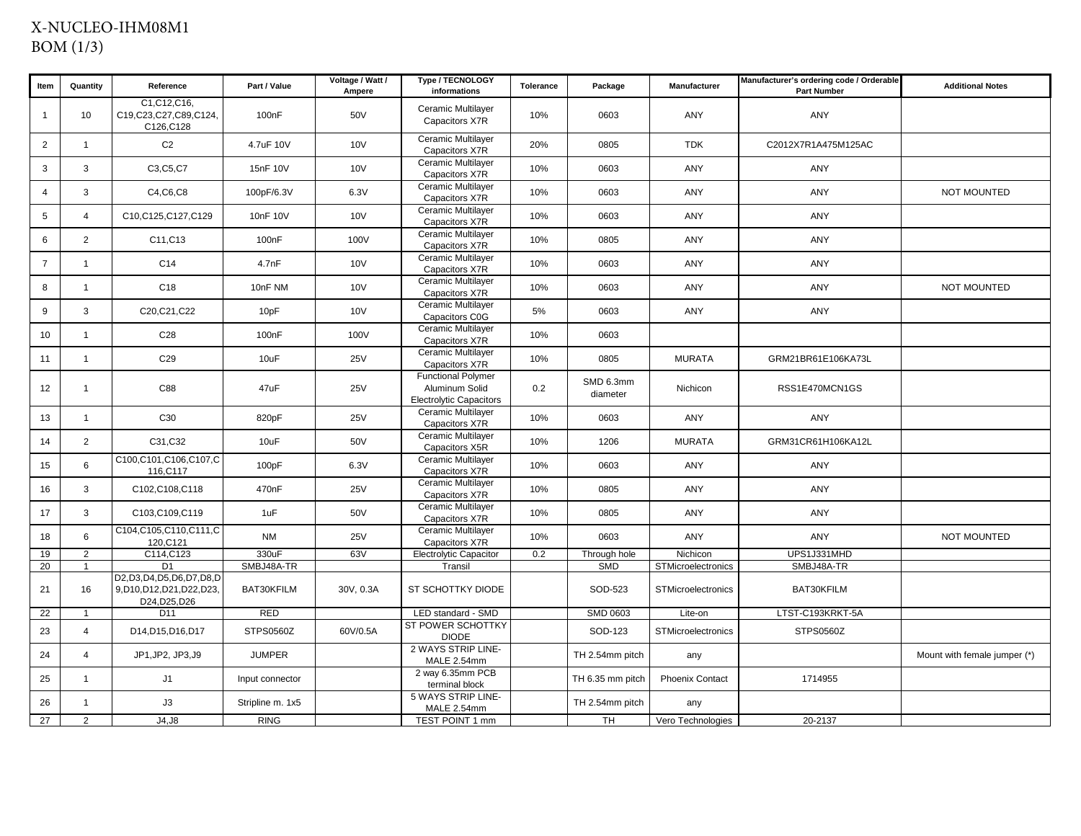## X-NUCLEO-IHM08M1BOM (1/3)

| Item            | Quantity       | Reference                                                                | Part / Value       | Voltage / Watt /<br>Ampere | Type / TECNOLOGY<br>informations                                              | Tolerance | Package               | <b>Manufacturer</b>       | Manufacturer's ordering code / Orderable<br><b>Part Number</b> | <b>Additional Notes</b>      |
|-----------------|----------------|--------------------------------------------------------------------------|--------------------|----------------------------|-------------------------------------------------------------------------------|-----------|-----------------------|---------------------------|----------------------------------------------------------------|------------------------------|
| $\overline{1}$  | 10             | C1, C12, C16,<br>C19,C23,C27,C89,C124,<br>C126, C128                     | 100 <sub>n</sub> F | 50V                        | Ceramic Multilayer<br>Capacitors X7R                                          | 10%       | 0603                  | ANY                       | ANY                                                            |                              |
| 2               | $\overline{1}$ | C <sub>2</sub>                                                           | 4.7uF 10V          | 10V                        | Ceramic Multilayer<br>Capacitors X7R                                          | 20%       | 0805                  | <b>TDK</b>                | C2012X7R1A475M125AC                                            |                              |
| $\mathbf{3}$    | $\mathbf{3}$   | C3, C5, C7                                                               | 15nF 10V           | <b>10V</b>                 | Ceramic Multilayer<br>Capacitors X7R                                          | 10%       | 0603                  | ANY                       | ANY                                                            |                              |
| $\overline{4}$  | 3              | C4, C6, C8                                                               | 100pF/6.3V         | 6.3V                       | Ceramic Multilayer<br>Capacitors X7R                                          | 10%       | 0603                  | ANY                       | ANY                                                            | <b>NOT MOUNTED</b>           |
| $5\phantom{.0}$ | $\overline{4}$ | C10, C125, C127, C129                                                    | 10nF 10V           | 10 <sub>V</sub>            | Ceramic Multilayer<br>Capacitors X7R                                          | 10%       | 0603                  | ANY                       | ANY                                                            |                              |
| 6               | 2              | C11, C13                                                                 | 100 <sub>n</sub> F | 100V                       | Ceramic Multilayer<br>Capacitors X7R                                          | 10%       | 0805                  | ANY                       | ANY                                                            |                              |
| $\overline{7}$  | $\overline{1}$ | C <sub>14</sub>                                                          | 4.7nF              | 10V                        | Ceramic Multilayer<br>Capacitors X7R                                          | 10%       | 0603                  | ANY                       | ANY                                                            |                              |
| 8               | $\mathbf{1}$   | C18                                                                      | 10nF NM            | <b>10V</b>                 | Ceramic Multilayer<br>Capacitors X7R                                          | 10%       | 0603                  | ANY                       | ANY                                                            | <b>NOT MOUNTED</b>           |
| 9               | 3              | C20, C21, C22                                                            | 10pF               | 10V                        | Ceramic Multilayer<br>Capacitors C0G                                          | 5%        | 0603                  | ANY                       | ANY                                                            |                              |
| 10              | $\mathbf{1}$   | C <sub>28</sub>                                                          | 100 <sub>n</sub> F | 100V                       | Ceramic Multilayer<br>Capacitors X7R                                          | 10%       | 0603                  |                           |                                                                |                              |
| 11              | $\mathbf{1}$   | C <sub>29</sub>                                                          | 10uF               | <b>25V</b>                 | Ceramic Multilayer<br>Capacitors X7R                                          | 10%       | 0805                  | <b>MURATA</b>             | GRM21BR61E106KA73L                                             |                              |
| 12 <sup>2</sup> | $\mathbf{1}$   | C88                                                                      | 47uF               | <b>25V</b>                 | <b>Functional Polymer</b><br>Aluminum Solid<br><b>Electrolytic Capacitors</b> | 0.2       | SMD 6.3mm<br>diameter | Nichicon                  | RSS1E470MCN1GS                                                 |                              |
| 13              | $\mathbf{1}$   | C30                                                                      | 820pF              | <b>25V</b>                 | Ceramic Multilayer<br>Capacitors X7R                                          | 10%       | 0603                  | ANY                       | ANY                                                            |                              |
| 14              | $\overline{2}$ | C31, C32                                                                 | 10uF               | 50V                        | Ceramic Multilayer<br>Capacitors X5R                                          | 10%       | 1206                  | <b>MURATA</b>             | GRM31CR61H106KA12L                                             |                              |
| 15              | 6              | C100,C101,C106,C107,C<br>116, C117                                       | 100pF              | 6.3V                       | Ceramic Multilayer<br>Capacitors X7R                                          | 10%       | 0603                  | ANY                       | ANY                                                            |                              |
| 16              | 3              | C102,C108,C118                                                           | 470 <sub>n</sub> F | <b>25V</b>                 | Ceramic Multilayer<br>Capacitors X7R                                          | 10%       | 0805                  | ANY                       | ANY                                                            |                              |
| 17              | $\mathbf{3}$   | C103,C109,C119                                                           | 1uF                | 50V                        | Ceramic Multilayer<br>Capacitors X7R                                          | 10%       | 0805                  | ANY                       | ANY                                                            |                              |
| 18              | 6              | C104,C105,C110,C111,C<br>120, C121                                       | <b>NM</b>          | <b>25V</b>                 | Ceramic Multilayer<br>Capacitors X7R                                          | 10%       | 0603                  | ANY                       | ANY                                                            | <b>NOT MOUNTED</b>           |
| 19              | 2              | C114, C123                                                               | 330uF              | 63V                        | <b>Electrolytic Capacitor</b>                                                 | 0.2       | Through hole          | Nichicon                  | UPS1J331MHD                                                    |                              |
| 20              | $\overline{1}$ | D <sub>1</sub>                                                           | SMBJ48A-TR         |                            | Transil                                                                       |           | <b>SMD</b>            | STMicroelectronics        | SMBJ48A-TR                                                     |                              |
| 21              | 16             | D2, D3, D4, D5, D6, D7, D8, D<br>9,D10,D12,D21,D22,D23,<br>D24, D25, D26 | BAT30KFILM         | 30V, 0.3A                  | ST SCHOTTKY DIODE                                                             |           | SOD-523               | <b>STMicroelectronics</b> | BAT30KFILM                                                     |                              |
| 22              | $\overline{1}$ | D <sub>11</sub>                                                          | <b>RED</b>         |                            | LED standard - SMD                                                            |           | SMD 0603              | Lite-on                   | LTST-C193KRKT-5A                                               |                              |
| 23              | $\overline{4}$ | D14, D15, D16, D17                                                       | STPS0560Z          | 60V/0.5A                   | ST POWER SCHOTTKY<br><b>DIODE</b>                                             |           | SOD-123               | <b>STMicroelectronics</b> | STPS0560Z                                                      |                              |
| 24              | $\overline{4}$ | JP1, JP2, JP3, J9                                                        | <b>JUMPER</b>      |                            | 2 WAYS STRIP LINE-<br>MALE 2.54mm                                             |           | TH 2.54mm pitch       | any                       |                                                                | Mount with female jumper (*) |
| 25              | $\mathbf{1}$   | J1                                                                       | Input connector    |                            | 2 way 6.35mm PCB<br>terminal block                                            |           | TH 6.35 mm pitch      | <b>Phoenix Contact</b>    | 1714955                                                        |                              |
| 26              | $\mathbf{1}$   | J3                                                                       | Stripline m. 1x5   |                            | 5 WAYS STRIP LINE-<br>MALE 2.54mm                                             |           | TH 2.54mm pitch       | any                       |                                                                |                              |
| 27              | 2              | J4, J8                                                                   | <b>RING</b>        |                            | TEST POINT 1 mm                                                               |           | TH                    | Vero Technologies         | 20-2137                                                        |                              |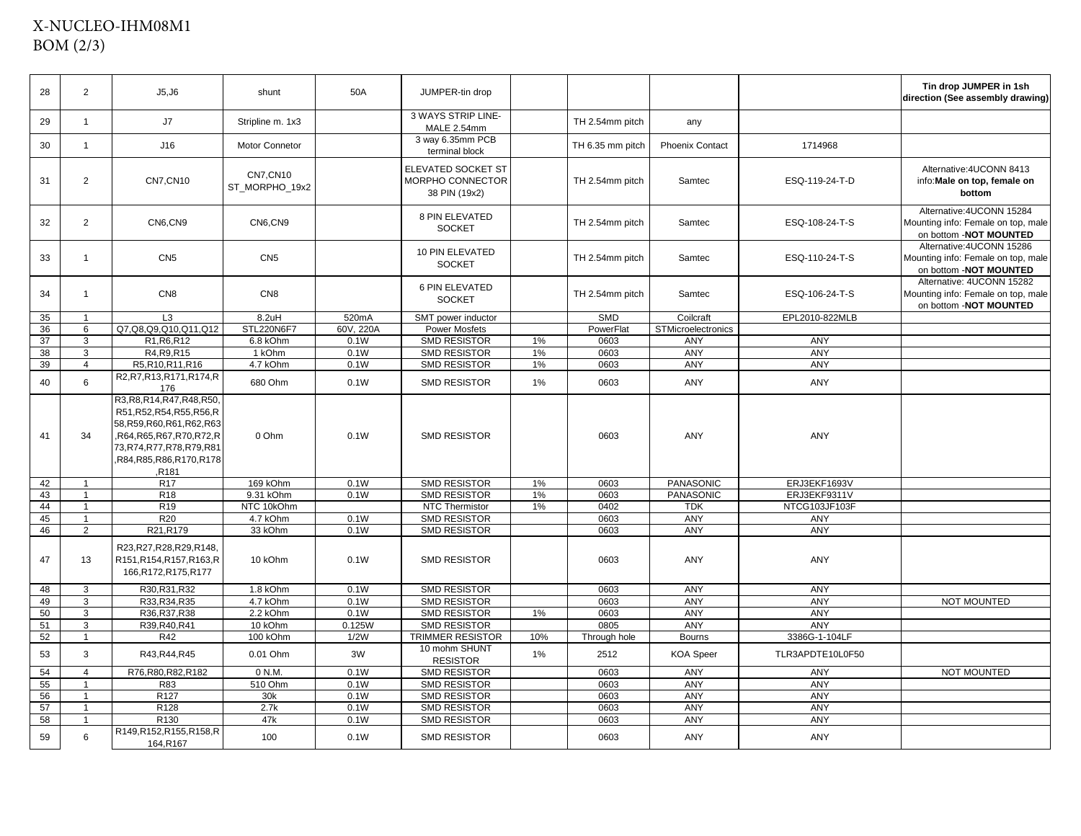## X-NUCLEO-IHM08M1BOM (2/3)

| 28 | 2              | J5, J6                                                                                                                                                                                             | shunt                              | 50A               | JUMPER-tin drop                                         |     |                  |                           |                  | Tin drop JUMPER in 1sh<br>direction (See assembly drawing)                                |
|----|----------------|----------------------------------------------------------------------------------------------------------------------------------------------------------------------------------------------------|------------------------------------|-------------------|---------------------------------------------------------|-----|------------------|---------------------------|------------------|-------------------------------------------------------------------------------------------|
| 29 | $\mathbf{1}$   | J7                                                                                                                                                                                                 | Stripline m. 1x3                   |                   | 3 WAYS STRIP LINE-<br>MALE 2.54mm                       |     | TH 2.54mm pitch  | any                       |                  |                                                                                           |
| 30 | $\mathbf{1}$   | J16                                                                                                                                                                                                | <b>Motor Connetor</b>              |                   | 3 way 6.35mm PCB<br>terminal block                      |     | TH 6.35 mm pitch | <b>Phoenix Contact</b>    | 1714968          |                                                                                           |
| 31 | $\overline{2}$ | <b>CN7, CN10</b>                                                                                                                                                                                   | <b>CN7, CN10</b><br>ST_MORPHO_19x2 |                   | ELEVATED SOCKET ST<br>MORPHO CONNECTOR<br>38 PIN (19x2) |     | TH 2.54mm pitch  | Samtec                    | ESQ-119-24-T-D   | Alternative: 4UCONN 8413<br>info: Male on top, female on<br>bottom                        |
| 32 | $\overline{2}$ | CN6,CN9                                                                                                                                                                                            | CN6,CN9                            |                   | 8 PIN ELEVATED<br><b>SOCKET</b>                         |     | TH 2.54mm pitch  | Samtec                    | ESQ-108-24-T-S   | Alternative: 4UCONN 15284<br>Mounting info: Female on top, male<br>on bottom -NOT MOUNTED |
| 33 | $\mathbf{1}$   | CN <sub>5</sub>                                                                                                                                                                                    | CN <sub>5</sub>                    |                   | 10 PIN ELEVATED<br><b>SOCKET</b>                        |     | TH 2.54mm pitch  | Samtec                    | ESQ-110-24-T-S   | Alternative: 4UCONN 15286<br>Mounting info: Female on top, male<br>on bottom -NOT MOUNTED |
| 34 | $\mathbf{1}$   | CN <sub>8</sub>                                                                                                                                                                                    | CN <sub>8</sub>                    |                   | 6 PIN ELEVATED<br><b>SOCKET</b>                         |     | TH 2.54mm pitch  | Samtec                    | ESQ-106-24-T-S   | Alternative: 4UCONN 15282<br>Mounting info: Female on top, male<br>on bottom -NOT MOUNTED |
| 35 |                | L <sub>3</sub>                                                                                                                                                                                     | 8.2uH                              | 520mA             | SMT power inductor                                      |     | <b>SMD</b>       | Coilcraft                 | EPL2010-822MLB   |                                                                                           |
| 36 | 6              | Q7,Q8,Q9,Q10,Q11,Q12                                                                                                                                                                               | STL220N6F7                         | 60V, 220A         | <b>Power Mosfets</b>                                    |     | PowerFlat        | <b>STMicroelectronics</b> |                  |                                                                                           |
| 37 | 3              | R1, R6, R12                                                                                                                                                                                        | 6.8 kOhm                           | 0.1W              | <b>SMD RESISTOR</b>                                     | 1%  | 0603             | ANY                       | ANY              |                                                                                           |
| 38 | 3              | R4, R9, R15                                                                                                                                                                                        | 1 kOhm                             | 0.1W              | <b>SMD RESISTOR</b>                                     | 1%  | 0603             | ANY                       | ANY              |                                                                                           |
| 39 | $\overline{4}$ | R5, R10, R11, R16                                                                                                                                                                                  | 4.7 kOhm                           | 0.1W              | SMD RESISTOR                                            | 1%  | 0603             | <b>ANY</b>                | ANY              |                                                                                           |
| 40 | 6              | R2, R7, R13, R171, R174, R<br>176                                                                                                                                                                  | 680 Ohm                            | 0.1W              | <b>SMD RESISTOR</b>                                     | 1%  | 0603             | ANY                       | ANY              |                                                                                           |
| 41 | 34             | R3, R8, R14, R47, R48, R50,<br>R51, R52, R54, R55, R56, R<br>58, R59, R60, R61, R62, R63<br>,R64,R65,R67,R70,R72,R<br>73, R74, R77, R78, R79, R81<br>R84, R85, R86, R170, R178<br>R <sub>181</sub> | 0 Ohm                              | 0.1W              | <b>SMD RESISTOR</b>                                     |     | 0603             | ANY                       | ANY              |                                                                                           |
| 42 | $\mathbf{1}$   | <b>R17</b>                                                                                                                                                                                         | 169 kOhm                           | 0.1W              | SMD RESISTOR                                            | 1%  | 0603             | PANASONIC                 | ERJ3EKF1693V     |                                                                                           |
| 43 | $\mathbf{1}$   | <b>R18</b>                                                                                                                                                                                         | 9.31 kOhm                          | 0.1W              | <b>SMD RESISTOR</b>                                     | 1%  | 0603             | PANASONIC                 | ERJ3EKF9311V     |                                                                                           |
| 44 | $\mathbf{1}$   | R <sub>19</sub>                                                                                                                                                                                    | NTC 10kOhm                         |                   | <b>NTC Thermistor</b>                                   | 1%  | 0402             | <b>TDK</b>                | NTCG103JF103F    |                                                                                           |
| 45 | $\mathbf{1}$   | R <sub>20</sub>                                                                                                                                                                                    | 4.7 kOhm                           | $0.1\overline{W}$ | SMD RESISTOR                                            |     | 0603             | <b>ANY</b>                | ANY              |                                                                                           |
| 46 | $\overline{2}$ | R21, R179                                                                                                                                                                                          | 33 kOhm                            | 0.1W              | <b>SMD RESISTOR</b>                                     |     | 0603             | ANY                       | ANY              |                                                                                           |
| 47 | 13             | R23, R27, R28, R29, R148,<br>R151, R154, R157, R163, R<br>166, R172, R175, R177                                                                                                                    | 10 kOhm                            | 0.1W              | <b>SMD RESISTOR</b>                                     |     | 0603             | ANY                       | ANY              |                                                                                           |
| 48 | 3              | R30.R31.R32                                                                                                                                                                                        | 1.8 kOhm                           | 0.1W              | <b>SMD RESISTOR</b>                                     |     | 0603             | ANY                       | ANY              |                                                                                           |
| 49 | 3              | R33, R34, R35                                                                                                                                                                                      | 4.7 kOhm                           | 0.1W              | SMD RESISTOR                                            |     | 0603             | ANY                       | ANY              | NOT MOUNTED                                                                               |
| 50 | 3              | R36, R37, R38                                                                                                                                                                                      | 2.2 kOhm                           | 0.1W              | <b>SMD RESISTOR</b>                                     | 1%  | 0603             | ANY                       | ANY              |                                                                                           |
| 51 | 3              | R39, R40, R41                                                                                                                                                                                      | 10 kOhm                            | 0.125W            | <b>SMD RESISTOR</b>                                     |     | 0805             | ANY                       | ANY              |                                                                                           |
| 52 | $\mathbf{1}$   | <b>R42</b>                                                                                                                                                                                         | 100 kOhm                           | 1/2W              | <b>TRIMMER RESISTOR</b>                                 | 10% | Through hole     | <b>Bourns</b>             | 3386G-1-104LF    |                                                                                           |
| 53 | 3              | R43, R44, R45                                                                                                                                                                                      | 0.01 Ohm                           | 3W                | 10 mohm SHUNT<br><b>RESISTOR</b>                        | 1%  | 2512             | <b>KOA</b> Speer          | TLR3APDTE10L0F50 |                                                                                           |
| 54 | $\overline{4}$ | R76, R80, R82, R182                                                                                                                                                                                | 0 N.M.                             | 0.1W              | <b>SMD RESISTOR</b>                                     |     | 0603             | ANY                       | ANY              | NOT MOUNTED                                                                               |
| 55 | $\mathbf{1}$   | R83                                                                                                                                                                                                | 510 Ohm                            | 0.1W              | <b>SMD RESISTOR</b>                                     |     | 0603             | ANY                       | ANY              |                                                                                           |
| 56 | $\mathbf{1}$   | R <sub>127</sub>                                                                                                                                                                                   | 30k                                | 0.1W              | <b>SMD RESISTOR</b>                                     |     | 0603             | <b>ANY</b>                | <b>ANY</b>       |                                                                                           |
| 57 | $\mathbf{1}$   | R128                                                                                                                                                                                               | 2.7k                               | 0.1W              | <b>SMD RESISTOR</b>                                     |     | 0603             | ANY                       | <b>ANY</b>       |                                                                                           |
| 58 | $\mathbf{1}$   | R130                                                                                                                                                                                               | 47k                                | 0.1W              | SMD RESISTOR                                            |     | 0603             | ANY                       | ANY              |                                                                                           |
| 59 | 6              | R149,R152,R155,R158,R<br>164,R167                                                                                                                                                                  | 100                                | 0.1W              | SMD RESISTOR                                            |     | 0603             | ANY                       | ANY              |                                                                                           |